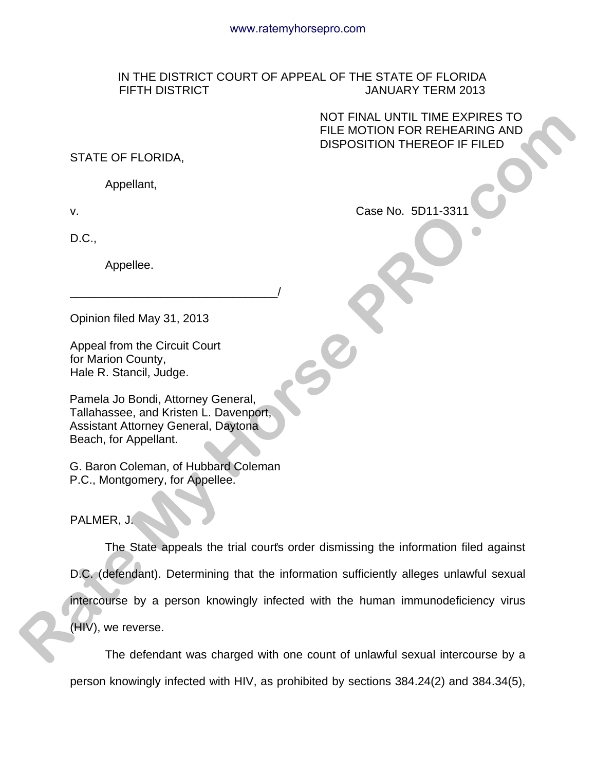## IN THE DISTRICT COURT OF APPEAL OF THE STATE OF FLORIDA FIFTH DISTRICT JANUARY TERM 2013

 NOT FINAL UNTIL TIME EXPIRES TO FILE MOTION FOR REHEARING AND DISPOSITION THEREOF IF FILED

## STATE OF FLORIDA,

Appellant,

D.C.,

Appellee.

Opinion filed May 31, 2013

Appeal from the Circuit Court for Marion County, Hale R. Stancil, Judge.

Pamela Jo Bondi, Attorney General, Tallahassee, and Kristen L. Davenport, Assistant Attorney General, Daytona Beach, for Appellant.

\_\_\_\_\_\_\_\_\_\_\_\_\_\_\_\_\_\_\_\_\_\_\_\_\_\_\_\_\_\_\_\_/

G. Baron Coleman, of Hubbard Coleman P.C., Montgomery, for Appellee.

PALMER, J.

The State appeals the trial court's order dismissing the information filed against D.C. (defendant). Determining that the information sufficiently alleges unlawful sexual intercourse by a person knowingly infected with the human immunodeficiency virus (HIV), we reverse. **RATE OF FLORIDA.**<br> **RATE OF FLORIDA.**<br> **RATE ADDION FOR REHEARING AND**<br>
SISPOSITION THEREOF IF FILED<br> **RADGEMENT AND DISPOSITION THEREOF IF FILED**<br> **RADGEMENT AND ACCOMPT**<br>
Appellen.<br> **Appellen.**<br> **RADGEMENT AND SINCE CON** 

The defendant was charged with one count of unlawful sexual intercourse by a person knowingly infected with HIV, as prohibited by sections 384.24(2) and 384.34(5),

v.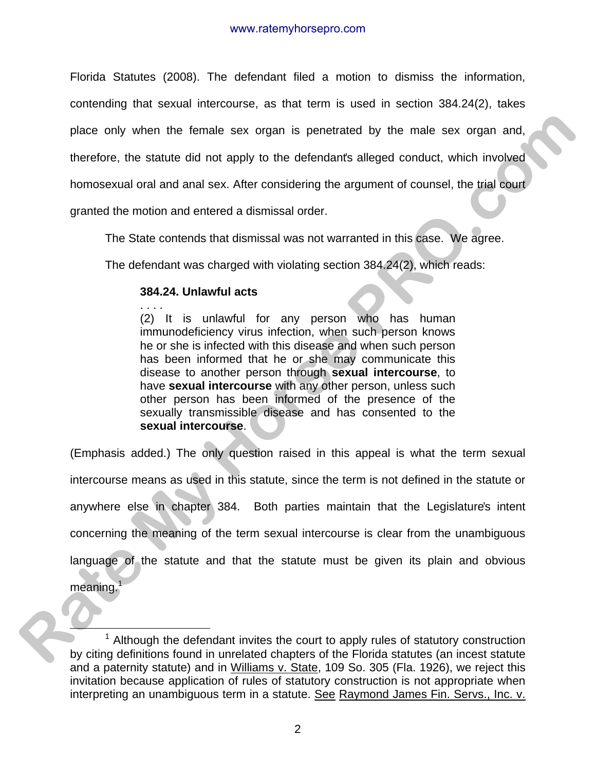Florida Statutes (2008). The defendant filed a motion to dismiss the information, contending that sexual intercourse, as that term is used in section 384.24(2), takes place only when the female sex organ is penetrated by the male sex organ and, therefore, the statute did not apply to the defendant's alleged conduct, which involved homosexual oral and anal sex. After considering the argument of counsel, the trial court

granted the motion and entered a dismissal order.

The State contends that dismissal was not warranted in this case. We agree.

The defendant was charged with violating section 384.24(2), which reads:

# **384.24. Unlawful acts**

. . . . (2) It is unlawful for any person who has human immunodeficiency virus infection, when such person knows he or she is infected with this disease and when such person has been informed that he or she may communicate this disease to another person through **sexual intercourse**, to have **sexual intercourse** with any other person, unless such other person has been informed of the presence of the sexually transmissible disease and has consented to the **sexual intercourse**.

(Emphasis added.) The only question raised in this appeal is what the term sexual intercourse means as used in this statute, since the term is not defined in the statute or anywhere else in chapter 384. Both parties maintain that the Legislature's intent concerning the meaning of the term sexual intercourse is clear from the unambiguous language of the statute and that the statute must be given its plain and obvious meaning. I place only when the female sex organ is penetrated by the male sex organ and,<br>therefore, the statute did not apply to the defendants alleged conduct, which involved<br>homosexual oral and and sex. After considering the argume

 $\frac{1}{1}$  $1$  Although the defendant invites the court to apply rules of statutory construction by citing definitions found in unrelated chapters of the Florida statutes (an incest statute and a paternity statute) and in Williams v. State, 109 So. 305 (Fla. 1926), we reject this invitation because application of rules of statutory construction is not appropriate when interpreting an unambiguous term in a statute. See Raymond James Fin. Servs., Inc. v.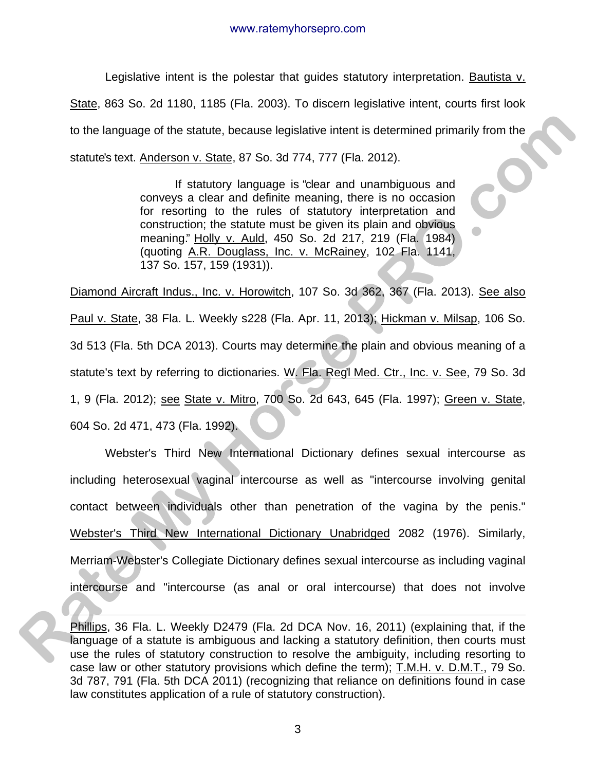Legislative intent is the polestar that guides statutory interpretation. Bautista v. State, 863 So. 2d 1180, 1185 (Fla. 2003). To discern legislative intent, courts first look to the language of the statute, because legislative intent is determined primarily from the statute's text. Anderson v. State, 87 So. 3d 774, 777 (Fla. 2012).

> If statutory language is "clear and unambiguous and conveys a clear and definite meaning, there is no occasion for resorting to the rules of statutory interpretation and construction; the statute must be given its plain and obvious meaning." Holly v. Auld, 450 So. 2d 217, 219 (Fla. 1984) (quoting A.R. Douglass, Inc. v. McRainey, 102 Fla. 1141, 137 So. 157, 159 (1931)).

Diamond Aircraft Indus., Inc. v. Horowitch, 107 So. 3d 362, 367 (Fla. 2013). See also Paul v. State, 38 Fla. L. Weekly s228 (Fla. Apr. 11, 2013); Hickman v. Milsap, 106 So. 3d 513 (Fla. 5th DCA 2013). Courts may determine the plain and obvious meaning of a statute's text by referring to dictionaries. W. Fla. Reg'l Med. Ctr., Inc. v. See, 79 So. 3d 1, 9 (Fla. 2012); see State v. Mitro, 700 So. 2d 643, 645 (Fla. 1997); Green v. State, 604 So. 2d 471, 473 (Fla. 1992).

Webster's Third New International Dictionary defines sexual intercourse as including heterosexual vaginal intercourse as well as "intercourse involving genital contact between individuals other than penetration of the vagina by the penis." Webster's Third New International Dictionary Unabridged 2082 (1976). Similarly, Merriam-Webster's Collegiate Dictionary defines sexual intercourse as including vaginal intercourse and "intercourse (as anal or oral intercourse) that does not involve to the language of the statute, because legislative intent is determined primarily from the<br>statute's text. Anderson v. Sizale, 87 So. 3d 774, 777 (Fla. 2012).<br>
If statute music hand parametering to the rules of stear and

 $\overline{1}$ 

3

Phillips, 36 Fla. L. Weekly D2479 (Fla. 2d DCA Nov. 16, 2011) (explaining that, if the language of a statute is ambiguous and lacking a statutory definition, then courts must use the rules of statutory construction to resolve the ambiguity, including resorting to case law or other statutory provisions which define the term); T.M.H. v. D.M.T., 79 So. 3d 787, 791 (Fla. 5th DCA 2011) (recognizing that reliance on definitions found in case law constitutes application of a rule of statutory construction).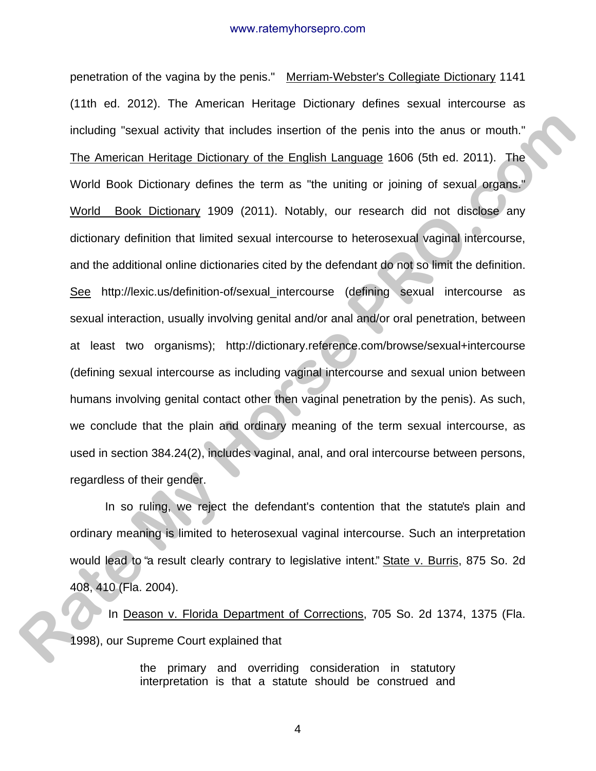#### www.ratemyhorsepro.com

penetration of the vagina by the penis." Merriam-Webster's Collegiate Dictionary 1141 (11th ed. 2012). The American Heritage Dictionary defines sexual intercourse as including "sexual activity that includes insertion of the penis into the anus or mouth." The American Heritage Dictionary of the English Language 1606 (5th ed. 2011). The World Book Dictionary defines the term as "the uniting or joining of sexual organs." World Book Dictionary 1909 (2011). Notably, our research did not disclose any dictionary definition that limited sexual intercourse to heterosexual vaginal intercourse, and the additional online dictionaries cited by the defendant do not so limit the definition. See http://lexic.us/definition-of/sexual\_intercourse (defining sexual intercourse as sexual interaction, usually involving genital and/or anal and/or oral penetration, between at least two organisms); http://dictionary.reference.com/browse/sexual+intercourse (defining sexual intercourse as including vaginal intercourse and sexual union between humans involving genital contact other then vaginal penetration by the penis). As such, we conclude that the plain and ordinary meaning of the term sexual intercourse, as used in section 384.24(2), includes vaginal, anal, and oral intercourse between persons, regardless of their gender. including "sexual activity that includes insertion of the penis into the anus or mouth."<br> **The American Horitage Distionary of the English Language 1606 (5th ed. 2011).** The<br>
World Book Dictionary defines the term as "the

 In so ruling, we reject the defendant's contention that the statute's plain and ordinary meaning is limited to heterosexual vaginal intercourse. Such an interpretation would lead to "a result clearly contrary to legislative intent." State v. Burris, 875 So. 2d 408, 410 (Fla. 2004).

In Deason v. Florida Department of Corrections, 705 So. 2d 1374, 1375 (Fla. 1998), our Supreme Court explained that

> the primary and overriding consideration in statutory interpretation is that a statute should be construed and

> > 4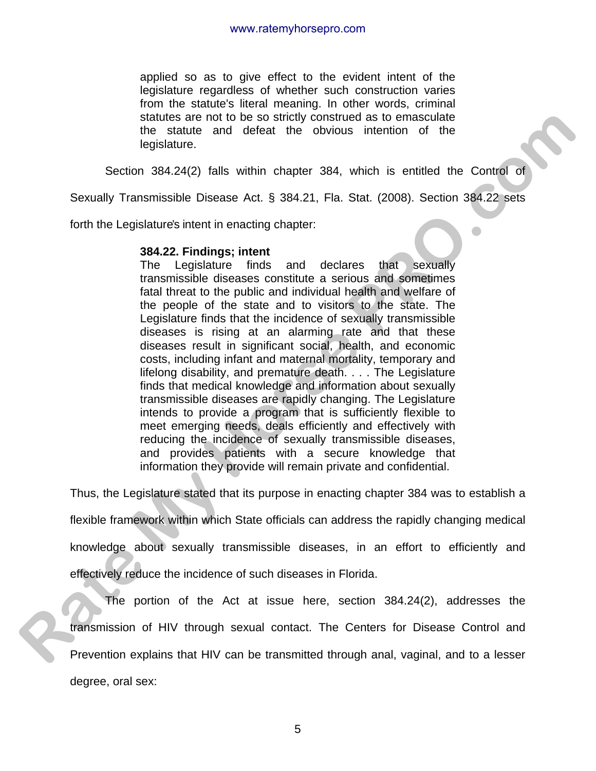applied so as to give effect to the evident intent of the legislature regardless of whether such construction varies from the statute's literal meaning. In other words, criminal statutes are not to be so strictly construed as to emasculate the statute and defeat the obvious intention of the legislature.

Section 384.24(2) falls within chapter 384, which is entitled the Control of

Sexually Transmissible Disease Act. § 384.21, Fla. Stat. (2008). Section 384.22 sets

forth the Legislature's intent in enacting chapter:

### **384.22. Findings; intent**

The Legislature finds and declares that sexually transmissible diseases constitute a serious and sometimes fatal threat to the public and individual health and welfare of the people of the state and to visitors to the state. The Legislature finds that the incidence of sexually transmissible diseases is rising at an alarming rate and that these diseases result in significant social, health, and economic costs, including infant and maternal mortality, temporary and lifelong disability, and premature death. . . . The Legislature finds that medical knowledge and information about sexually transmissible diseases are rapidly changing. The Legislature intends to provide a program that is sufficiently flexible to meet emerging needs, deals efficiently and effectively with reducing the incidence of sexually transmissible diseases, and provides patients with a secure knowledge that information they provide will remain private and confidential. station 384.242. Findings are not to be a solicity constrained as to conseculate<br>the statute and defeat the obvious interior of the<br>digilature.<br>Security and 242 (all the station control of Security 1781-1838)<br>Security The

Thus, the Legislature stated that its purpose in enacting chapter 384 was to establish a

flexible framework within which State officials can address the rapidly changing medical

knowledge about sexually transmissible diseases, in an effort to efficiently and

effectively reduce the incidence of such diseases in Florida.

The portion of the Act at issue here, section 384.24(2), addresses the transmission of HIV through sexual contact. The Centers for Disease Control and Prevention explains that HIV can be transmitted through anal, vaginal, and to a lesser degree, oral sex: